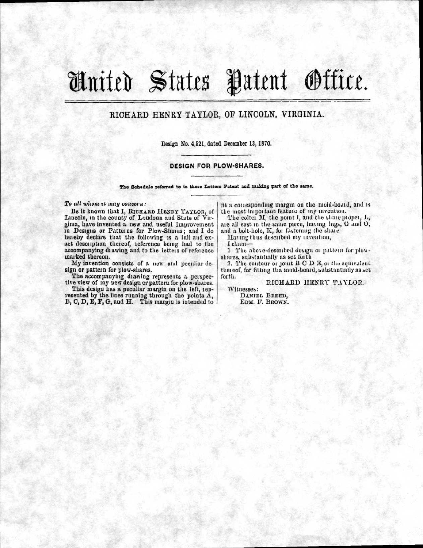## &dial Stato Patent Office.

## RICHARD HENRY TAYLOR, OF LINCOLN, VIRGINIA.

Design No, 4,521, dated December 13, 1870.

## DESIGN FOR PLOW-SHARES.

The Schedule referred to in these Letters Patent and making part of the same,

*To all whorn tt, may concern:* 

Be it known that I, RICHARD HENRY TAYLOR, of Lincoln, in the county of Loudoun and State of Virginia, have invented a new and useful Improvement in Desigus or Patterns for Plow-Shares; and I do heieby declare that the following is a lull and exact description thereof, reference being had to the accompanying diawing and to the letters of reference marked thereon.

My invention consists of a new and peculiar design or pattein for plow-shares.

The accompanying diawing represents a perspective view of my new design or pattern for plow-shares.

This design has a peculiar margin on the left, represented by the lines running through the points A, B, C, D, E, F, G, and H. This margin is intended to

fit a corresponding margin on the mold-board, and is the most important featuie of my invention.

The colter  $M$ , the point  $I$ , and the share proper,  $I$ ., are all cast in the same piece, having lugs, G and O, and a holt-hole, K, for fastening the share

Having thus described my invention,

I claim-

1 The above-described design or pattern for plowshares, substantially as set forth

2. The contour of joint  $B \, C \, D \, E$ , or the equivalent thereof, for fitting the mold-board, substantially as set forth.

RICHARD HENRY TAYLOR.

Witnesses:

DANIEL BREED, EDM. F. BROWN.